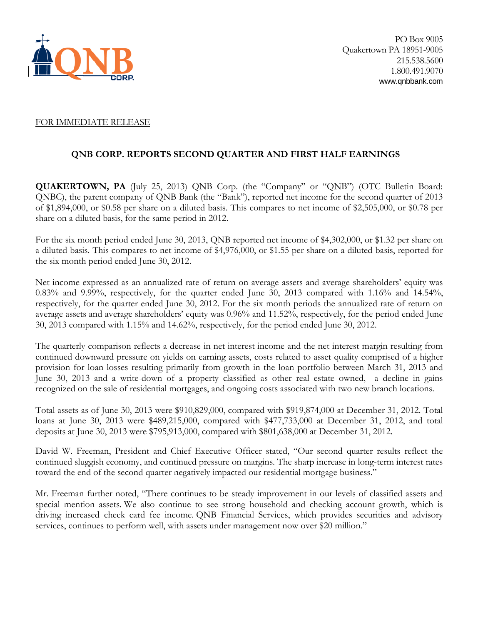

#### FOR IMMEDIATE RELEASE

# **QNB CORP. REPORTS SECOND QUARTER AND FIRST HALF EARNINGS**

**QUAKERTOWN, PA** (July 25, 2013) QNB Corp. (the "Company" or "QNB") (OTC Bulletin Board: QNBC), the parent company of QNB Bank (the "Bank"), reported net income for the second quarter of 2013 of \$1,894,000, or \$0.58 per share on a diluted basis. This compares to net income of \$2,505,000, or \$0.78 per share on a diluted basis, for the same period in 2012.

For the six month period ended June 30, 2013, QNB reported net income of \$4,302,000, or \$1.32 per share on a diluted basis. This compares to net income of \$4,976,000, or \$1.55 per share on a diluted basis, reported for the six month period ended June 30, 2012.

Net income expressed as an annualized rate of return on average assets and average shareholders' equity was 0.83% and 9.99%, respectively, for the quarter ended June 30, 2013 compared with 1.16% and 14.54%, respectively, for the quarter ended June 30, 2012. For the six month periods the annualized rate of return on average assets and average shareholders' equity was 0.96% and 11.52%, respectively, for the period ended June 30, 2013 compared with 1.15% and 14.62%, respectively, for the period ended June 30, 2012.

The quarterly comparison reflects a decrease in net interest income and the net interest margin resulting from continued downward pressure on yields on earning assets, costs related to asset quality comprised of a higher provision for loan losses resulting primarily from growth in the loan portfolio between March 31, 2013 and June 30, 2013 and a write-down of a property classified as other real estate owned, a decline in gains recognized on the sale of residential mortgages, and ongoing costs associated with two new branch locations.

Total assets as of June 30, 2013 were \$910,829,000, compared with \$919,874,000 at December 31, 2012. Total loans at June 30, 2013 were \$489,215,000, compared with \$477,733,000 at December 31, 2012, and total deposits at June 30, 2013 were \$795,913,000, compared with \$801,638,000 at December 31, 2012.

David W. Freeman, President and Chief Executive Officer stated, "Our second quarter results reflect the continued sluggish economy, and continued pressure on margins. The sharp increase in long-term interest rates toward the end of the second quarter negatively impacted our residential mortgage business."

Mr. Freeman further noted, "There continues to be steady improvement in our levels of classified assets and special mention assets. We also continue to see strong household and checking account growth, which is driving increased check card fee income. QNB Financial Services, which provides securities and advisory services, continues to perform well, with assets under management now over \$20 million."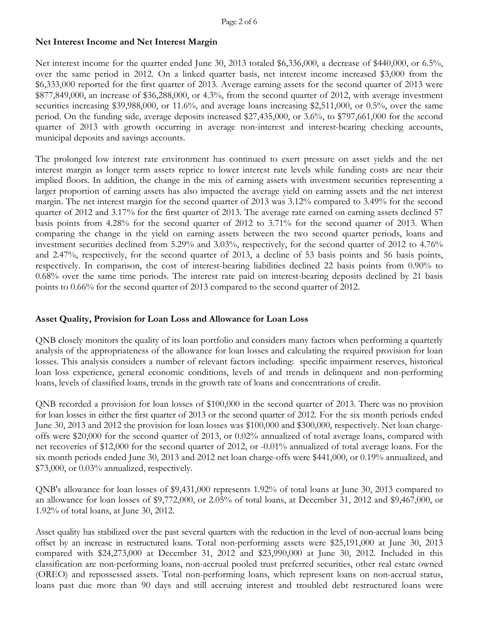### **Net Interest Income and Net Interest Margin**

Net interest income for the quarter ended June 30, 2013 totaled \$6,336,000, a decrease of \$440,000, or 6.5%, over the same period in 2012. On a linked quarter basis, net interest income increased \$3,000 from the \$6,333,000 reported for the first quarter of 2013. Average earning assets for the second quarter of 2013 were \$877,849,000, an increase of \$36,288,000, or 4.3%, from the second quarter of 2012, with average investment securities increasing \$39,988,000, or 11.6%, and average loans increasing \$2,511,000, or 0.5%, over the same period. On the funding side, average deposits increased \$27,435,000, or 3.6%, to \$797,661,000 for the second quarter of 2013 with growth occurring in average non-interest and interest-bearing checking accounts, municipal deposits and savings accounts.

The prolonged low interest rate environment has continued to exert pressure on asset yields and the net interest margin as longer term assets reprice to lower interest rate levels while funding costs are near their implied floors. In addition, the change in the mix of earning assets with investment securities representing a larger proportion of earning assets has also impacted the average yield on earning assets and the net interest margin. The net interest margin for the second quarter of 2013 was 3.12% compared to 3.49% for the second quarter of 2012 and 3.17% for the first quarter of 2013. The average rate earned on earning assets declined 57 basis points from 4.28% for the second quarter of 2012 to 3.71% for the second quarter of 2013. When comparing the change in the yield on earning assets between the two second quarter periods, loans and investment securities declined from 5.29% and 3.03%, respectively, for the second quarter of 2012 to 4.76% and 2.47%, respectively, for the second quarter of 2013, a decline of 53 basis points and 56 basis points, respectively. In comparison, the cost of interest-bearing liabilities declined 22 basis points from 0.90% to 0.68% over the same time periods. The interest rate paid on interest-bearing deposits declined by 21 basis points to 0.66% for the second quarter of 2013 compared to the second quarter of 2012.

# **Asset Quality, Provision for Loan Loss and Allowance for Loan Loss**

QNB closely monitors the quality of its loan portfolio and considers many factors when performing a quarterly analysis of the appropriateness of the allowance for loan losses and calculating the required provision for loan losses. This analysis considers a number of relevant factors including: specific impairment reserves, historical loan loss experience, general economic conditions, levels of and trends in delinquent and non-performing loans, levels of classified loans, trends in the growth rate of loans and concentrations of credit.

QNB recorded a provision for loan losses of \$100,000 in the second quarter of 2013. There was no provision for loan losses in either the first quarter of 2013 or the second quarter of 2012. For the six month periods ended June 30, 2013 and 2012 the provision for loan losses was \$100,000 and \$300,000, respectively. Net loan chargeoffs were \$20,000 for the second quarter of 2013, or 0.02% annualized of total average loans, compared with net recoveries of \$12,000 for the second quarter of 2012, or -0.01% annualized of total average loans. For the six month periods ended June 30, 2013 and 2012 net loan charge-offs were \$441,000, or 0.19% annualized, and \$73,000, or 0.03% annualized, respectively.

QNB's allowance for loan losses of \$9,431,000 represents 1.92% of total loans at June 30, 2013 compared to an allowance for loan losses of \$9,772,000, or 2.05% of total loans, at December 31, 2012 and \$9,467,000, or 1.92% of total loans, at June 30, 2012.

Asset quality has stabilized over the past several quarters with the reduction in the level of non-accrual loans being offset by an increase in restructured loans. Total non-performing assets were \$25,191,000 at June 30, 2013 compared with \$24,273,000 at December 31, 2012 and \$23,990,000 at June 30, 2012. Included in this classification are non-performing loans, non-accrual pooled trust preferred securities, other real estate owned (OREO) and repossessed assets. Total non-performing loans, which represent loans on non-accrual status, loans past due more than 90 days and still accruing interest and troubled debt restructured loans were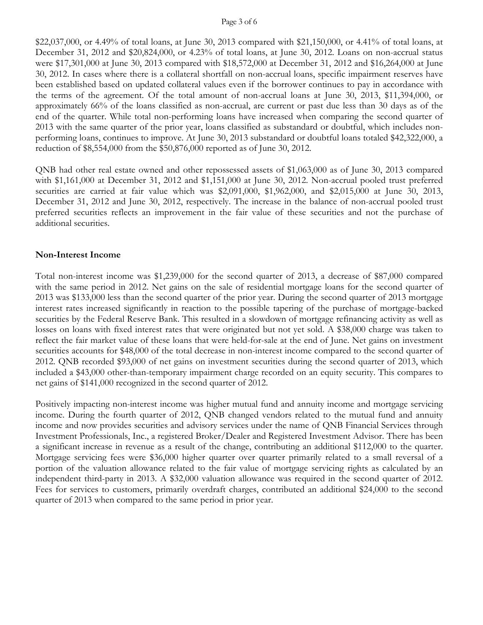#### Page 3 of 6

\$22,037,000, or 4.49% of total loans, at June 30, 2013 compared with \$21,150,000, or 4.41% of total loans, at December 31, 2012 and \$20,824,000, or 4.23% of total loans, at June 30, 2012. Loans on non-accrual status were \$17,301,000 at June 30, 2013 compared with \$18,572,000 at December 31, 2012 and \$16,264,000 at June 30, 2012. In cases where there is a collateral shortfall on non-accrual loans, specific impairment reserves have been established based on updated collateral values even if the borrower continues to pay in accordance with the terms of the agreement. Of the total amount of non-accrual loans at June 30, 2013, \$11,394,000, or approximately 66% of the loans classified as non-accrual, are current or past due less than 30 days as of the end of the quarter. While total non-performing loans have increased when comparing the second quarter of 2013 with the same quarter of the prior year, loans classified as substandard or doubtful, which includes nonperforming loans, continues to improve. At June 30, 2013 substandard or doubtful loans totaled \$42,322,000, a reduction of \$8,554,000 from the \$50,876,000 reported as of June 30, 2012.

QNB had other real estate owned and other repossessed assets of \$1,063,000 as of June 30, 2013 compared with \$1,161,000 at December 31, 2012 and \$1,151,000 at June 30, 2012. Non-accrual pooled trust preferred securities are carried at fair value which was \$2,091,000, \$1,962,000, and \$2,015,000 at June 30, 2013, December 31, 2012 and June 30, 2012, respectively. The increase in the balance of non-accrual pooled trust preferred securities reflects an improvement in the fair value of these securities and not the purchase of additional securities.

#### **Non-Interest Income**

Total non-interest income was \$1,239,000 for the second quarter of 2013, a decrease of \$87,000 compared with the same period in 2012. Net gains on the sale of residential mortgage loans for the second quarter of 2013 was \$133,000 less than the second quarter of the prior year. During the second quarter of 2013 mortgage interest rates increased significantly in reaction to the possible tapering of the purchase of mortgage-backed securities by the Federal Reserve Bank. This resulted in a slowdown of mortgage refinancing activity as well as losses on loans with fixed interest rates that were originated but not yet sold. A \$38,000 charge was taken to reflect the fair market value of these loans that were held-for-sale at the end of June. Net gains on investment securities accounts for \$48,000 of the total decrease in non-interest income compared to the second quarter of 2012. QNB recorded \$93,000 of net gains on investment securities during the second quarter of 2013, which included a \$43,000 other-than-temporary impairment charge recorded on an equity security. This compares to net gains of \$141,000 recognized in the second quarter of 2012.

Positively impacting non-interest income was higher mutual fund and annuity income and mortgage servicing income. During the fourth quarter of 2012, QNB changed vendors related to the mutual fund and annuity income and now provides securities and advisory services under the name of QNB Financial Services through Investment Professionals, Inc., a registered Broker/Dealer and Registered Investment Advisor. There has been a significant increase in revenue as a result of the change, contributing an additional \$112,000 to the quarter. Mortgage servicing fees were \$36,000 higher quarter over quarter primarily related to a small reversal of a portion of the valuation allowance related to the fair value of mortgage servicing rights as calculated by an independent third-party in 2013. A \$32,000 valuation allowance was required in the second quarter of 2012. Fees for services to customers, primarily overdraft charges, contributed an additional \$24,000 to the second quarter of 2013 when compared to the same period in prior year.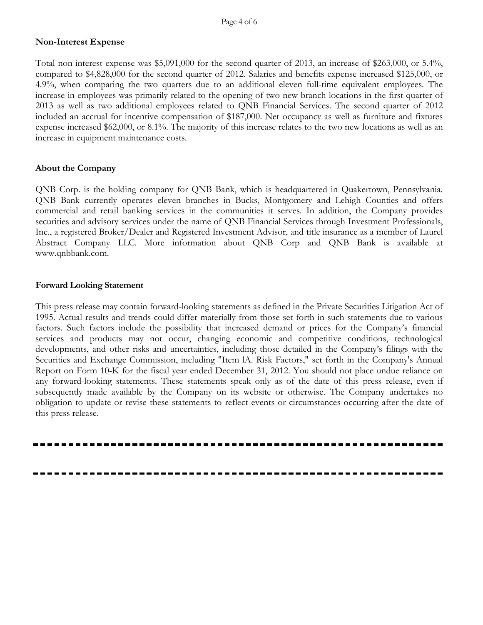### **Non-Interest Expense**

Total non-interest expense was \$5,091,000 for the second quarter of 2013, an increase of \$263,000, or 5.4%, compared to \$4,828,000 for the second quarter of 2012. Salaries and benefits expense increased \$125,000, or 4.9%, when comparing the two quarters due to an additional eleven full-time equivalent employees. The increase in employees was primarily related to the opening of two new branch locations in the first quarter of 2013 as well as two additional employees related to QNB Financial Services. The second quarter of 2012 included an accrual for incentive compensation of \$187,000. Net occupancy as well as furniture and fixtures expense increased \$62,000, or 8.1%. The majority of this increase relates to the two new locations as well as an increase in equipment maintenance costs.

### **About the Company**

QNB Corp. is the holding company for QNB Bank, which is headquartered in Quakertown, Pennsylvania. QNB Bank currently operates eleven branches in Bucks, Montgomery and Lehigh Counties and offers commercial and retail banking services in the communities it serves. In addition, the Company provides securities and advisory services under the name of QNB Financial Services through Investment Professionals, Inc., a registered Broker/Dealer and Registered Investment Advisor, and title insurance as a member of Laurel Abstract Company LLC. More information about QNB Corp and QNB Bank is available at www.qnbbank.com.

#### **Forward Looking Statement**

This press release may contain forward-looking statements as defined in the Private Securities Litigation Act of 1995. Actual results and trends could differ materially from those set forth in such statements due to various factors. Such factors include the possibility that increased demand or prices for the Company's financial services and products may not occur, changing economic and competitive conditions, technological developments, and other risks and uncertainties, including those detailed in the Company's filings with the Securities and Exchange Commission, including "Item lA. Risk Factors," set forth in the Company's Annual Report on Form 10-K for the fiscal year ended December 31, 2012. You should not place undue reliance on any forward-looking statements. These statements speak only as of the date of this press release, even if subsequently made available by the Company on its website or otherwise. The Company undertakes no obligation to update or revise these statements to reflect events or circumstances occurring after the date of this press release.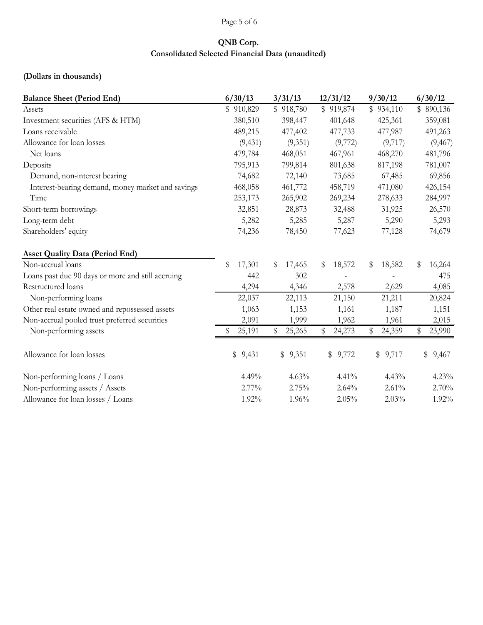# Page 5 of 6

# **QNB Corp. Consolidated Selected Financial Data (unaudited)**

# **(Dollars in thousands)**

| <b>Balance Sheet (Period End)</b>                 | 6/30/13      | 3/31/13      | 12/31/12               | 9/30/12      | 6/30/12      |  |  |
|---------------------------------------------------|--------------|--------------|------------------------|--------------|--------------|--|--|
| Assets                                            | \$910,829    | \$918,780    | \$919,874              | \$934,110    | \$890,136    |  |  |
| Investment securities (AFS & HTM)                 | 380,510      | 398,447      | 401,648                | 425,361      | 359,081      |  |  |
| Loans receivable                                  | 489,215      | 477,402      | 477,733                | 477,987      | 491,263      |  |  |
| Allowance for loan losses                         | (9, 431)     | (9,351)      | (9,772)                | (9,717)      | (9, 467)     |  |  |
| Net loans                                         | 479,784      | 468,051      | 467,961                | 468,270      | 481,796      |  |  |
| Deposits                                          | 795,913      | 799,814      | 801,638                | 817,198      | 781,007      |  |  |
| Demand, non-interest bearing                      | 74,682       | 72,140       | 73,685                 | 67,485       | 69,856       |  |  |
| Interest-bearing demand, money market and savings | 468,058      | 461,772      | 458,719                | 471,080      | 426,154      |  |  |
| Time                                              | 253,173      | 265,902      | 269,234                | 278,633      | 284,997      |  |  |
| Short-term borrowings                             | 32,851       | 28,873       | 32,488                 | 31,925       | 26,570       |  |  |
| Long-term debt                                    | 5,282        | 5,285        | 5,287                  | 5,290        | 5,293        |  |  |
| Shareholders' equity                              | 74,236       | 78,450       | 77,623                 | 77,128       | 74,679       |  |  |
| <b>Asset Quality Data (Period End)</b>            |              |              |                        |              |              |  |  |
| Non-accrual loans                                 | \$<br>17,301 | 17,465<br>\$ | 18,572<br>\$           | 18,582<br>\$ | 16,264<br>\$ |  |  |
| Loans past due 90 days or more and still accruing | 442          | 302          |                        |              | 475          |  |  |
| Restructured loans                                | 4,294        | 4,346        | 2,578                  | 2,629        | 4,085        |  |  |
| Non-performing loans                              | 22,037       | 22,113       | 21,150                 | 21,211       | 20,824       |  |  |
| Other real estate owned and repossessed assets    | 1,063        | 1,153        | 1,161                  | 1,187        | 1,151        |  |  |
| Non-accrual pooled trust preferred securities     | 2,091        | 1,999        | 1,962                  | 1,961        | 2,015        |  |  |
| Non-performing assets                             | 25,191       | \$<br>25,265 | $\mathbb{S}$<br>24,273 | \$<br>24,359 | \$<br>23,990 |  |  |
| Allowance for loan losses                         | \$9,431      | \$9,351      | \$9,772                | \$9,717      | \$<br>9,467  |  |  |
| Non-performing loans / Loans                      | 4.49%        | 4.63%        | 4.41%                  | 4.43%        | 4.23%        |  |  |
| Non-performing assets / Assets                    | 2.77%        | 2.75%        | 2.64%                  | 2.61%        | 2.70%        |  |  |
| Allowance for loan losses / Loans                 | 1.92%        | 1.96%        | 2.05%                  | 2.03%        | 1.92%        |  |  |